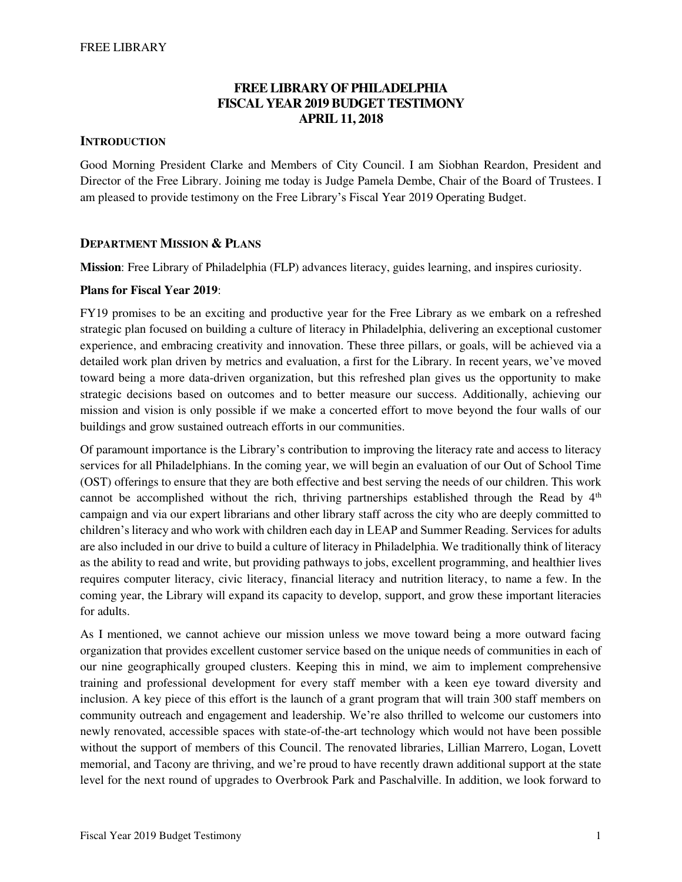# **FREE LIBRARY OF PHILADELPHIA FISCAL YEAR 2019 BUDGET TESTIMONY APRIL 11, 2018**

## **INTRODUCTION**

Good Morning President Clarke and Members of City Council. I am Siobhan Reardon, President and Director of the Free Library. Joining me today is Judge Pamela Dembe, Chair of the Board of Trustees. I am pleased to provide testimony on the Free Library's Fiscal Year 2019 Operating Budget.

## **DEPARTMENT MISSION & PLANS**

**Mission**: Free Library of Philadelphia (FLP) advances literacy, guides learning, and inspires curiosity.

### **Plans for Fiscal Year 2019**:

FY19 promises to be an exciting and productive year for the Free Library as we embark on a refreshed strategic plan focused on building a culture of literacy in Philadelphia, delivering an exceptional customer experience, and embracing creativity and innovation. These three pillars, or goals, will be achieved via a detailed work plan driven by metrics and evaluation, a first for the Library. In recent years, we've moved toward being a more data-driven organization, but this refreshed plan gives us the opportunity to make strategic decisions based on outcomes and to better measure our success. Additionally, achieving our mission and vision is only possible if we make a concerted effort to move beyond the four walls of our buildings and grow sustained outreach efforts in our communities.

Of paramount importance is the Library's contribution to improving the literacy rate and access to literacy services for all Philadelphians. In the coming year, we will begin an evaluation of our Out of School Time (OST) offerings to ensure that they are both effective and best serving the needs of our children. This work cannot be accomplished without the rich, thriving partnerships established through the Read by  $4<sup>th</sup>$ campaign and via our expert librarians and other library staff across the city who are deeply committed to children's literacy and who work with children each day in LEAP and Summer Reading. Services for adults are also included in our drive to build a culture of literacy in Philadelphia. We traditionally think of literacy as the ability to read and write, but providing pathways to jobs, excellent programming, and healthier lives requires computer literacy, civic literacy, financial literacy and nutrition literacy, to name a few. In the coming year, the Library will expand its capacity to develop, support, and grow these important literacies for adults.

As I mentioned, we cannot achieve our mission unless we move toward being a more outward facing organization that provides excellent customer service based on the unique needs of communities in each of our nine geographically grouped clusters. Keeping this in mind, we aim to implement comprehensive training and professional development for every staff member with a keen eye toward diversity and inclusion. A key piece of this effort is the launch of a grant program that will train 300 staff members on community outreach and engagement and leadership. We're also thrilled to welcome our customers into newly renovated, accessible spaces with state-of-the-art technology which would not have been possible without the support of members of this Council. The renovated libraries, Lillian Marrero, Logan, Lovett memorial, and Tacony are thriving, and we're proud to have recently drawn additional support at the state level for the next round of upgrades to Overbrook Park and Paschalville. In addition, we look forward to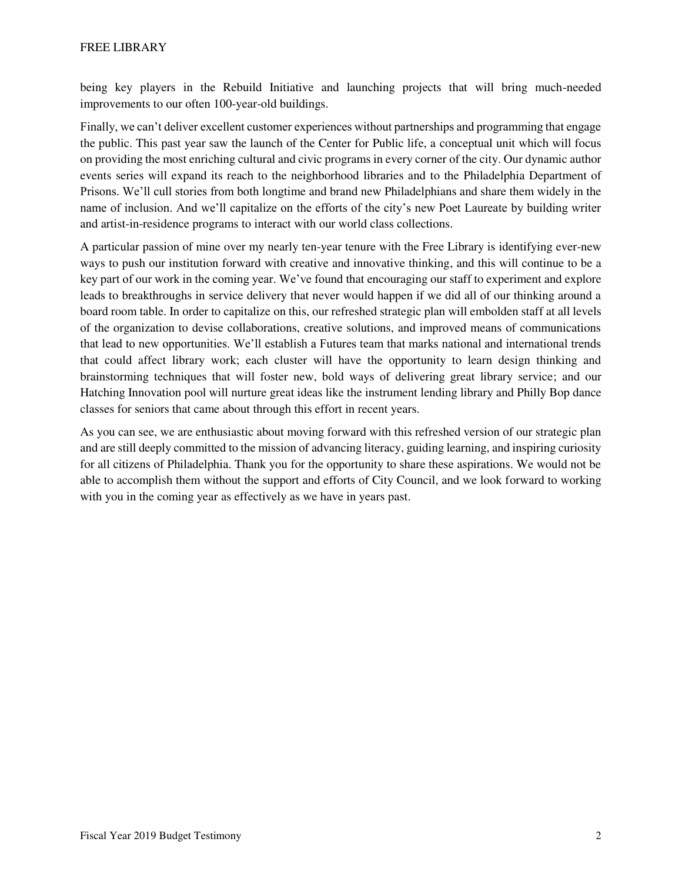being key players in the Rebuild Initiative and launching projects that will bring much-needed improvements to our often 100-year-old buildings.

Finally, we can't deliver excellent customer experiences without partnerships and programming that engage the public. This past year saw the launch of the Center for Public life, a conceptual unit which will focus on providing the most enriching cultural and civic programs in every corner of the city. Our dynamic author events series will expand its reach to the neighborhood libraries and to the Philadelphia Department of Prisons. We'll cull stories from both longtime and brand new Philadelphians and share them widely in the name of inclusion. And we'll capitalize on the efforts of the city's new Poet Laureate by building writer and artist-in-residence programs to interact with our world class collections.

A particular passion of mine over my nearly ten-year tenure with the Free Library is identifying ever-new ways to push our institution forward with creative and innovative thinking, and this will continue to be a key part of our work in the coming year. We've found that encouraging our staff to experiment and explore leads to breakthroughs in service delivery that never would happen if we did all of our thinking around a board room table. In order to capitalize on this, our refreshed strategic plan will embolden staff at all levels of the organization to devise collaborations, creative solutions, and improved means of communications that lead to new opportunities. We'll establish a Futures team that marks national and international trends that could affect library work; each cluster will have the opportunity to learn design thinking and brainstorming techniques that will foster new, bold ways of delivering great library service; and our Hatching Innovation pool will nurture great ideas like the instrument lending library and Philly Bop dance classes for seniors that came about through this effort in recent years.

As you can see, we are enthusiastic about moving forward with this refreshed version of our strategic plan and are still deeply committed to the mission of advancing literacy, guiding learning, and inspiring curiosity for all citizens of Philadelphia. Thank you for the opportunity to share these aspirations. We would not be able to accomplish them without the support and efforts of City Council, and we look forward to working with you in the coming year as effectively as we have in years past.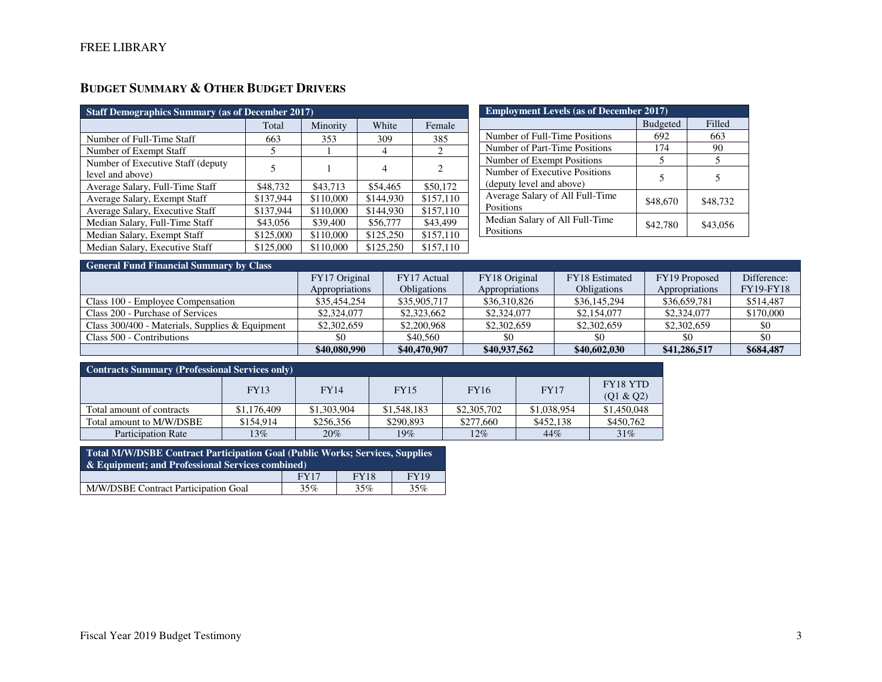# **BUDGET SUMMARY & OTHER BUDGET DRIVERS**

| <b>Staff Demographics Summary (as of December 2017)</b> |           |           |           |           |  |  |  |  |  |
|---------------------------------------------------------|-----------|-----------|-----------|-----------|--|--|--|--|--|
|                                                         | Total     | Minority  | White     | Female    |  |  |  |  |  |
| Number of Full-Time Staff                               | 663       | 353       | 309       | 385       |  |  |  |  |  |
| Number of Exempt Staff                                  | 5         |           | 4         | 2         |  |  |  |  |  |
| Number of Executive Staff (deputy)<br>level and above)  | 5         |           | 4         | 2         |  |  |  |  |  |
| Average Salary, Full-Time Staff                         | \$48,732  | \$43,713  | \$54,465  | \$50,172  |  |  |  |  |  |
| Average Salary, Exempt Staff                            | \$137,944 | \$110,000 | \$144.930 | \$157,110 |  |  |  |  |  |
| Average Salary, Executive Staff                         | \$137,944 | \$110,000 | \$144.930 | \$157,110 |  |  |  |  |  |
| Median Salary, Full-Time Staff                          | \$43,056  | \$39,400  | \$56,777  | \$43,499  |  |  |  |  |  |
| Median Salary, Exempt Staff                             | \$125,000 | \$110,000 | \$125,250 | \$157,110 |  |  |  |  |  |
| Median Salary, Executive Staff                          | \$125,000 | \$110,000 | \$125,250 | \$157,110 |  |  |  |  |  |

| <b>Employment Levels (as of December 2017)</b>            |                 |          |  |  |  |  |  |
|-----------------------------------------------------------|-----------------|----------|--|--|--|--|--|
|                                                           | <b>Budgeted</b> | Filled   |  |  |  |  |  |
| Number of Full-Time Positions                             | 692             | 663      |  |  |  |  |  |
| Number of Part-Time Positions                             | 174             | 90       |  |  |  |  |  |
| Number of Exempt Positions                                | 5               |          |  |  |  |  |  |
| Number of Executive Positions<br>(deputy level and above) | 5               | 5        |  |  |  |  |  |
| Average Salary of All Full-Time<br>Positions              | \$48,670        | \$48,732 |  |  |  |  |  |
| Median Salary of All Full-Time<br>Positions               | \$42,780        | \$43,056 |  |  |  |  |  |

| <b>General Fund Financial Summary by Class</b>    |                |                    |                |                    |                |                  |
|---------------------------------------------------|----------------|--------------------|----------------|--------------------|----------------|------------------|
|                                                   | FY17 Original  | FY17 Actual        | FY18 Original  | FY18 Estimated     | FY19 Proposed  | Difference:      |
|                                                   | Appropriations | <b>Obligations</b> | Appropriations | <b>Obligations</b> | Appropriations | <b>FY19-FY18</b> |
| Class 100 - Employee Compensation                 | \$35,454,254   | \$35,905,717       | \$36,310,826   | \$36,145,294       | \$36,659,781   | \$514,487        |
| Class 200 - Purchase of Services                  | \$2,324,077    | \$2,323,662        | \$2,324,077    | \$2,154,077        | \$2,324,077    | \$170,000        |
| Class $300/400$ - Materials, Supplies & Equipment | \$2,302,659    | \$2,200,968        | \$2,302,659    | \$2,302,659        | \$2,302,659    | \$0              |
| Class 500 - Contributions                         | -80            | \$40,560           | \$0            | \$0                | \$0            |                  |
|                                                   | \$40,080,990   | \$40,470,907       | \$40,937,562   | \$40,602,030       | \$41,286,517   | \$684,487        |

| <b>Contracts Summary (Professional Services only)</b> |             |             |             |             |             |                       |  |  |  |
|-------------------------------------------------------|-------------|-------------|-------------|-------------|-------------|-----------------------|--|--|--|
|                                                       | <b>FY13</b> | <b>FY14</b> | <b>FY15</b> | <b>FY16</b> | <b>FY17</b> | FY18 YTD<br>(Q1 & Q2) |  |  |  |
| Total amount of contracts                             | \$1,176,409 | \$1,303,904 | \$1,548,183 | \$2,305,702 | \$1,038,954 | \$1,450,048           |  |  |  |
| Total amount to M/W/DSBE                              | \$154,914   | \$256,356   | \$290.893   | \$277,660   | \$452,138   | \$450,762             |  |  |  |
| <b>Participation Rate</b>                             | 13%         | 20%         | 19%         | 12%         | 44%         | 31%                   |  |  |  |

| Total M/W/DSBE Contract Participation Goal (Public Works; Services, Supplies<br>& Equipment: and Professional Services combined) |      |             |             |  |  |  |
|----------------------------------------------------------------------------------------------------------------------------------|------|-------------|-------------|--|--|--|
|                                                                                                                                  | FY17 | <b>FY18</b> | <b>FY19</b> |  |  |  |
| M/W/DSBE Contract Participation Goal                                                                                             | 35%  | 35%         | 35%         |  |  |  |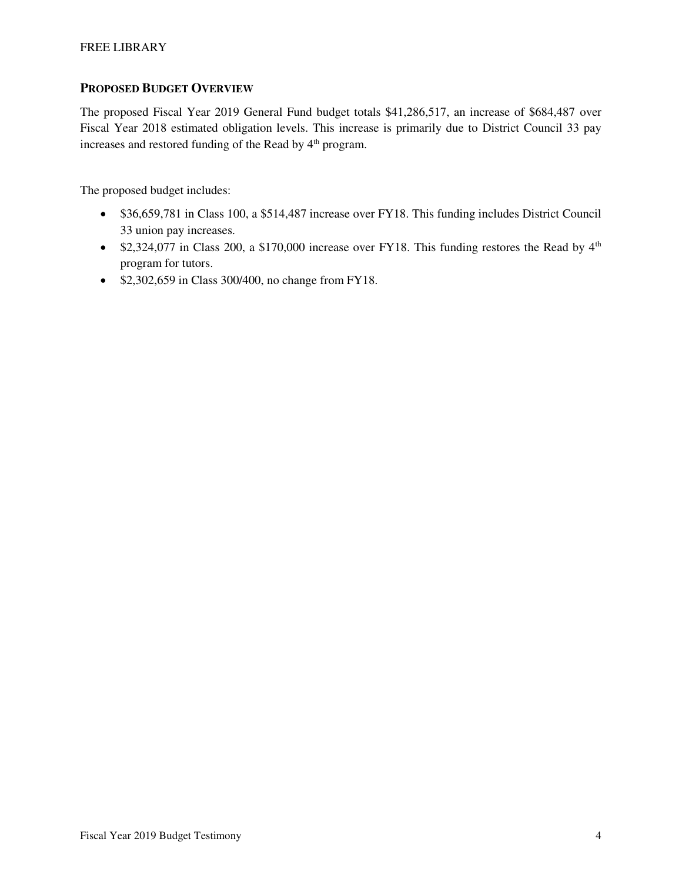## **PROPOSED BUDGET OVERVIEW**

The proposed Fiscal Year 2019 General Fund budget totals \$41,286,517, an increase of \$684,487 over Fiscal Year 2018 estimated obligation levels. This increase is primarily due to District Council 33 pay increases and restored funding of the Read by 4<sup>th</sup> program.

The proposed budget includes:

- \$36,659,781 in Class 100, a \$514,487 increase over FY18. This funding includes District Council 33 union pay increases.
- \$2,324,077 in Class 200, a \$170,000 increase over FY18. This funding restores the Read by  $4<sup>th</sup>$ program for tutors.
- \$2,302,659 in Class 300/400, no change from FY18.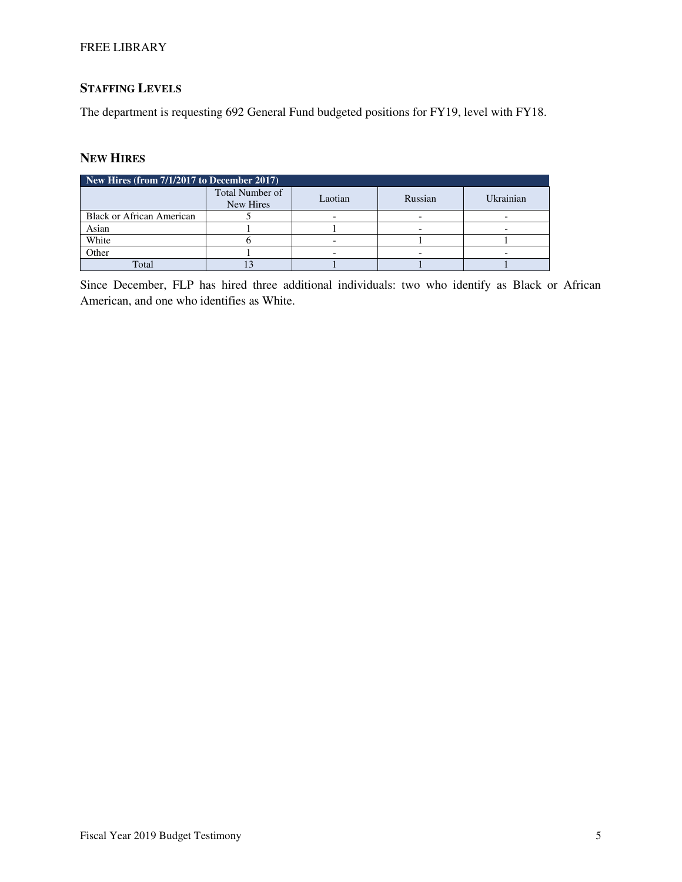## FREE LIBRARY

# **STAFFING LEVELS**

The department is requesting 692 General Fund budgeted positions for FY19, level with FY18.

# **NEW HIRES**

| New Hires (from $7/1/2017$ to December 2017) |                              |         |         |           |  |  |  |  |  |
|----------------------------------------------|------------------------------|---------|---------|-----------|--|--|--|--|--|
|                                              | Total Number of<br>New Hires | Laotian | Russian | Ukrainian |  |  |  |  |  |
| <b>Black or African American</b>             |                              |         |         |           |  |  |  |  |  |
| Asian                                        |                              |         |         |           |  |  |  |  |  |
| White                                        |                              |         |         |           |  |  |  |  |  |
| Other                                        |                              |         |         |           |  |  |  |  |  |
| Total                                        |                              |         |         |           |  |  |  |  |  |

Since December, FLP has hired three additional individuals: two who identify as Black or African American, and one who identifies as White.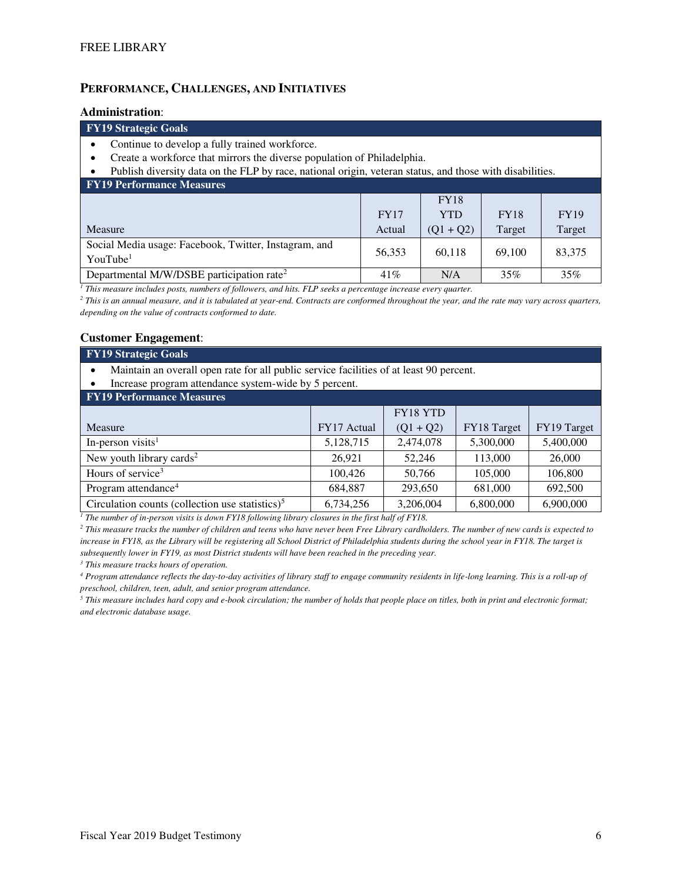## **PERFORMANCE, CHALLENGES, AND INITIATIVES**

#### **Administration**:

#### **FY19 Strategic Goals**

- Continue to develop a fully trained workforce.
- Create a workforce that mirrors the diverse population of Philadelphia.
- Publish diversity data on the FLP by race, national origin, veteran status, and those with disabilities.

| <b>FY19 Performance Measures</b>                                              |             |             |             |             |  |  |  |  |  |
|-------------------------------------------------------------------------------|-------------|-------------|-------------|-------------|--|--|--|--|--|
|                                                                               |             | <b>FY18</b> |             |             |  |  |  |  |  |
|                                                                               | <b>FY17</b> | <b>YTD</b>  | <b>FY18</b> | <b>FY19</b> |  |  |  |  |  |
| Measure                                                                       | Actual      | $(Q1 + Q2)$ | Target      | Target      |  |  |  |  |  |
| Social Media usage: Facebook, Twitter, Instagram, and<br>YouTube <sup>1</sup> | 56.353      | 60.118      | 69,100      | 83,375      |  |  |  |  |  |
| Departmental M/W/DSBE participation rate <sup>2</sup>                         | 41%         | N/A         | 35%         | 35%         |  |  |  |  |  |

*1 This measure includes posts, numbers of followers, and hits. FLP seeks a percentage increase every quarter.* 

<sup>2</sup> This is an annual measure, and it is tabulated at year-end. Contracts are conformed throughout the year, and the rate may vary across quarters, *depending on the value of contracts conformed to date.* 

#### **Customer Engagement**:

#### **FY19 Strategic Goals**

• Maintain an overall open rate for all public service facilities of at least 90 percent.

• Increase program attendance system-wide by 5 percent.

| <b>FY19 Performance Measures</b>                   |             |             |             |             |  |  |  |  |  |
|----------------------------------------------------|-------------|-------------|-------------|-------------|--|--|--|--|--|
|                                                    |             | FY18 YTD    |             |             |  |  |  |  |  |
| Measure                                            | FY17 Actual | $(Q1 + Q2)$ | FY18 Target | FY19 Target |  |  |  |  |  |
| In-person visits <sup>1</sup>                      | 5,128,715   | 2,474,078   | 5,300,000   | 5,400,000   |  |  |  |  |  |
| New youth library cards <sup>2</sup>               | 26.921      | 52,246      | 113,000     | 26,000      |  |  |  |  |  |
| Hours of service <sup>3</sup>                      | 100,426     | 50,766      | 105,000     | 106,800     |  |  |  |  |  |
| Program attendance <sup>4</sup>                    | 684.887     | 293.650     | 681,000     | 692,500     |  |  |  |  |  |
| Circulation counts (collection use statistics) $5$ | 6,734,256   | 3,206,004   | 6,800,000   | 6,900,000   |  |  |  |  |  |

<sup>1</sup> The number of in-person visits is down FY18 following library closures in the first half of FY18.

*2 This measure tracks the number of children and teens who have never been Free Library cardholders. The number of new cards is expected to increase in FY18, as the Library will be registering all School District of Philadelphia students during the school year in FY18. The target is subsequently lower in FY19, as most District students will have been reached in the preceding year.* 

*3 This measure tracks hours of operation.* 

*4 Program attendance reflects the day-to-day activities of library staff to engage community residents in life-long learning. This is a roll-up of preschool, children, teen, adult, and senior program attendance.* 

 $^5$  This measure includes hard copy and e-book circulation; the number of holds that people place on titles, both in print and electronic format; *and electronic database usage.*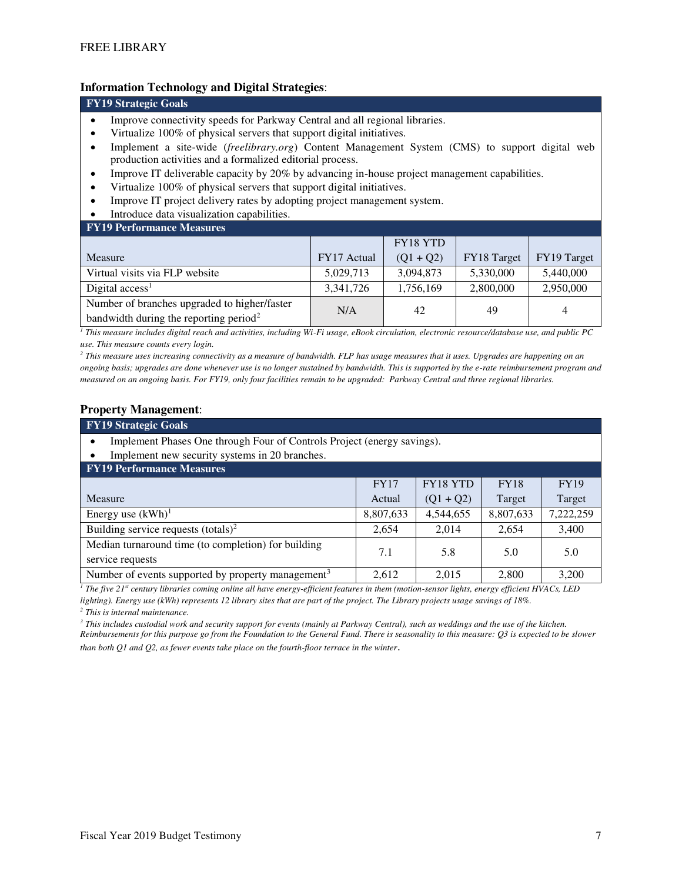## **Information Technology and Digital Strategies**:

#### **FY19 Strategic Goals**

- Improve connectivity speeds for Parkway Central and all regional libraries.
- Virtualize 100% of physical servers that support digital initiatives.
- Implement a site-wide (*freelibrary.org*) Content Management System (CMS) to support digital web production activities and a formalized editorial process.
- Improve IT deliverable capacity by 20% by advancing in-house project management capabilities.
- Virtualize 100% of physical servers that support digital initiatives.
- Improve IT project delivery rates by adopting project management system.
- Introduce data visualization capabilities.
- **FY19 Performance Measures**

| T TIS TULIMINUM MUMBULUS                                                                           |             |             |             |             |
|----------------------------------------------------------------------------------------------------|-------------|-------------|-------------|-------------|
|                                                                                                    |             | FY18 YTD    |             |             |
| Measure                                                                                            | FY17 Actual | $(Q1 + Q2)$ | FY18 Target | FY19 Target |
| Virtual visits via FLP website                                                                     | 5,029,713   | 3,094,873   | 5,330,000   | 5,440,000   |
| Digital $access1$                                                                                  | 3,341,726   | 1,756,169   | 2,800,000   | 2,950,000   |
| Number of branches upgraded to higher/faster<br>bandwidth during the reporting period <sup>2</sup> | N/A         | 42          | 49          | 4           |

*1 This measure includes digital reach and activities, including Wi-Fi usage, eBook circulation, electronic resource/database use, and public PC use. This measure counts every login.* 

*2 This measure uses increasing connectivity as a measure of bandwidth. FLP has usage measures that it uses. Upgrades are happening on an ongoing basis; upgrades are done whenever use is no longer sustained by bandwidth. This is supported by the e-rate reimbursement program and measured on an ongoing basis. For FY19, only four facilities remain to be upgraded: Parkway Central and three regional libraries.* 

#### **Property Management**:

| <b>FY19 Strategic Goals</b>                                             |             |             |             |             |  |  |  |  |
|-------------------------------------------------------------------------|-------------|-------------|-------------|-------------|--|--|--|--|
| Implement Phases One through Four of Controls Project (energy savings). |             |             |             |             |  |  |  |  |
| Implement new security systems in 20 branches.                          |             |             |             |             |  |  |  |  |
| <b>FY19 Performance Measures</b>                                        |             |             |             |             |  |  |  |  |
|                                                                         | <b>FY17</b> | FY18 YTD    | <b>FY18</b> | <b>FY19</b> |  |  |  |  |
| Measure                                                                 | Actual      | $(Q1 + Q2)$ | Target      | Target      |  |  |  |  |
| Energy use $(kWh)^1$                                                    | 8,807,633   | 4,544,655   | 8,807,633   | 7,222,259   |  |  |  |  |
| Building service requests $(totals)^2$                                  | 2,654       | 2,014       | 2,654       | 3,400       |  |  |  |  |
| Median turnaround time (to completion) for building<br>service requests | 7.1         | 5.8         | 5.0         | 5.0         |  |  |  |  |
| Number of events supported by property management <sup>3</sup>          | 2,612       | 2.015       | 2.800       | 3,200       |  |  |  |  |

*1 The five 21st century libraries coming online all have energy-efficient features in them (motion-sensor lights, energy efficient HVACs, LED lighting). Energy use (kWh) represents 12 library sites that are part of the project. The Library projects usage savings of 18%.* 

*2 This is internal maintenance.* 

<sup>3</sup> This includes custodial work and security support for events (mainly at Parkway Central), such as weddings and the use of the kitchen. *Reimbursements for this purpose go from the Foundation to the General Fund. There is seasonality to this measure: Q3 is expected to be slower than both Q1 and Q2, as fewer events take place on the fourth-floor terrace in the winter*.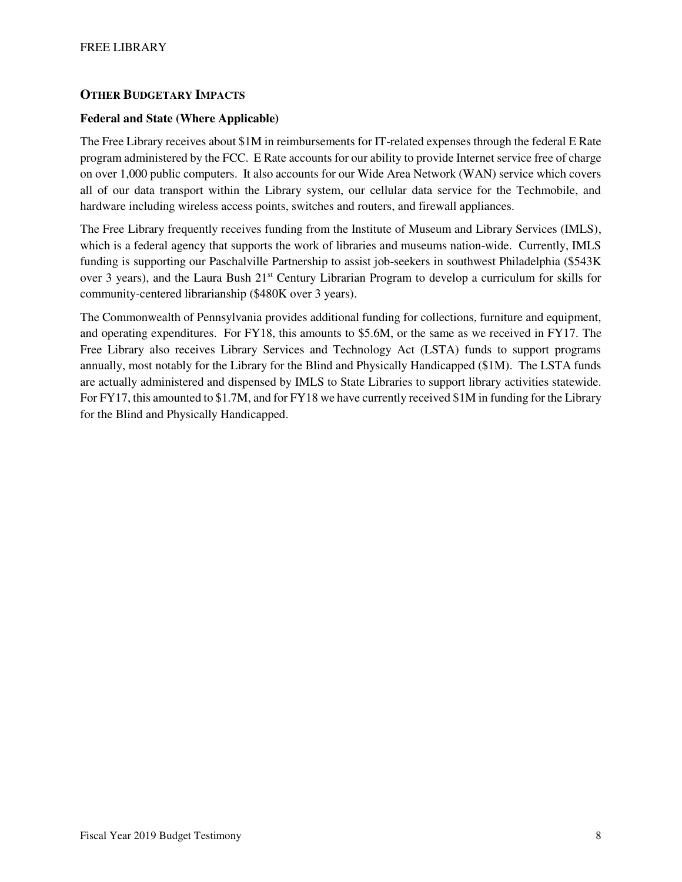## **OTHER BUDGETARY IMPACTS**

## **Federal and State (Where Applicable)**

The Free Library receives about \$1M in reimbursements for IT-related expenses through the federal E Rate program administered by the FCC. E Rate accounts for our ability to provide Internet service free of charge on over 1,000 public computers. It also accounts for our Wide Area Network (WAN) service which covers all of our data transport within the Library system, our cellular data service for the Techmobile, and hardware including wireless access points, switches and routers, and firewall appliances.

The Free Library frequently receives funding from the Institute of Museum and Library Services (IMLS), which is a federal agency that supports the work of libraries and museums nation-wide. Currently, IMLS funding is supporting our Paschalville Partnership to assist job-seekers in southwest Philadelphia (\$543K over 3 years), and the Laura Bush 21<sup>st</sup> Century Librarian Program to develop a curriculum for skills for community-centered librarianship (\$480K over 3 years).

The Commonwealth of Pennsylvania provides additional funding for collections, furniture and equipment, and operating expenditures. For FY18, this amounts to \$5.6M, or the same as we received in FY17. The Free Library also receives Library Services and Technology Act (LSTA) funds to support programs annually, most notably for the Library for the Blind and Physically Handicapped (\$1M). The LSTA funds are actually administered and dispensed by IMLS to State Libraries to support library activities statewide. For FY17, this amounted to \$1.7M, and for FY18 we have currently received \$1M in funding for the Library for the Blind and Physically Handicapped.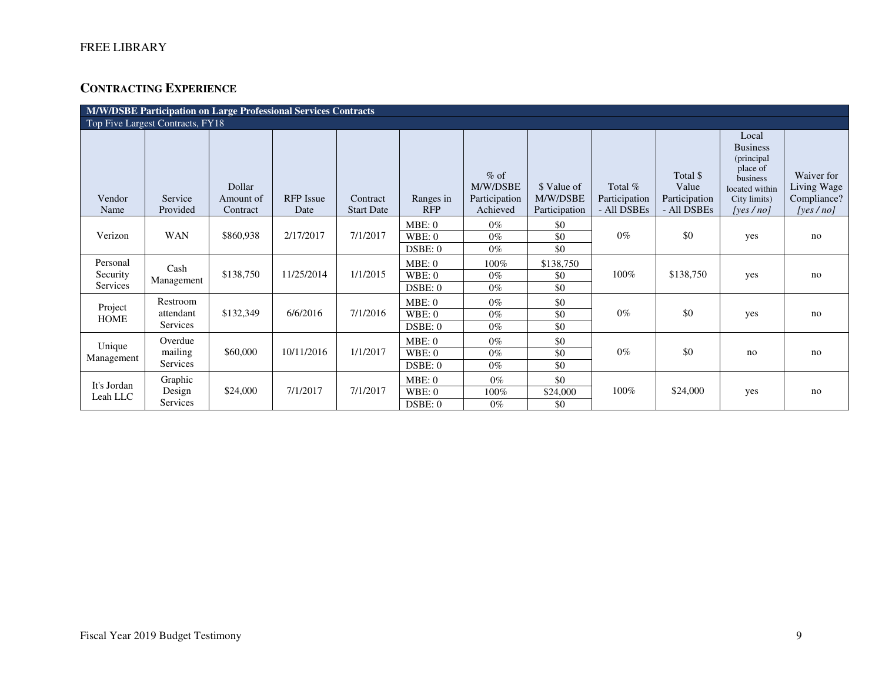# **CONTRACTING EXPERIENCE**

| M/W/DSBE Participation on Large Professional Services Contracts |                                   |                                 |                          |                               |                           |                                                 |                                          |                                         |                                                   |                                                                                                              |                                                          |
|-----------------------------------------------------------------|-----------------------------------|---------------------------------|--------------------------|-------------------------------|---------------------------|-------------------------------------------------|------------------------------------------|-----------------------------------------|---------------------------------------------------|--------------------------------------------------------------------------------------------------------------|----------------------------------------------------------|
|                                                                 | Top Five Largest Contracts, FY18  |                                 |                          |                               |                           |                                                 |                                          |                                         |                                                   |                                                                                                              |                                                          |
| Vendor<br>Name                                                  | Service<br>Provided               | Dollar<br>Amount of<br>Contract | <b>RFP</b> Issue<br>Date | Contract<br><b>Start Date</b> | Ranges in<br><b>RFP</b>   | $%$ of<br>M/W/DSBE<br>Participation<br>Achieved | \$ Value of<br>M/W/DSBE<br>Participation | Total %<br>Participation<br>- All DSBEs | Total \$<br>Value<br>Participation<br>- All DSBEs | Local<br><b>Business</b><br>(principal<br>place of<br>business<br>located within<br>City limits)<br>[ves/no] | Waiver for<br>Living Wage<br>Compliance?<br>[yes $/$ no] |
| Verizon                                                         | <b>WAN</b>                        | \$860,938                       | 2/17/2017                | 7/1/2017                      | MBE:0<br>WBE:0<br>DSBE: 0 | $0\%$<br>$0\%$<br>$0\%$                         | \$0<br>\$0<br>\$0                        | $0\%$                                   | \$0                                               | yes                                                                                                          | no                                                       |
| Personal<br>Security<br>Services                                | Cash<br>Management                | \$138,750                       | 11/25/2014               | 1/1/2015                      | MBE:0<br>WBE:0<br>DSBE: 0 | 100%<br>$0\%$<br>$0\%$                          | \$138,750<br>\$0<br>\$0                  | 100%                                    | \$138,750                                         | yes                                                                                                          | no                                                       |
| Project<br><b>HOME</b>                                          | Restroom<br>attendant<br>Services | \$132,349                       | 6/6/2016                 | 7/1/2016                      | MBE:0<br>WBE:0<br>DSBE: 0 | $0\%$<br>$0\%$<br>$0\%$                         | \$0<br>\$0<br>\$0                        | $0\%$                                   | \$0                                               | yes                                                                                                          | no                                                       |
| Unique<br>Management                                            | Overdue<br>mailing<br>Services    | \$60,000                        | 10/11/2016               | 1/1/2017                      | MBE:0<br>WBE:0<br>DSBE: 0 | $0\%$<br>$0\%$<br>$0\%$                         | \$0<br>\$0<br>\$0                        | $0\%$                                   | \$0                                               | no                                                                                                           | no                                                       |
| It's Jordan<br>Leah LLC                                         | Graphic<br>Design<br>Services     | \$24,000                        | 7/1/2017                 | 7/1/2017                      | MBE:0<br>WBE:0<br>DSBE: 0 | $0\%$<br>100%<br>$0\%$                          | \$0<br>\$24,000<br>\$0                   | 100%                                    | \$24,000                                          | yes                                                                                                          | no                                                       |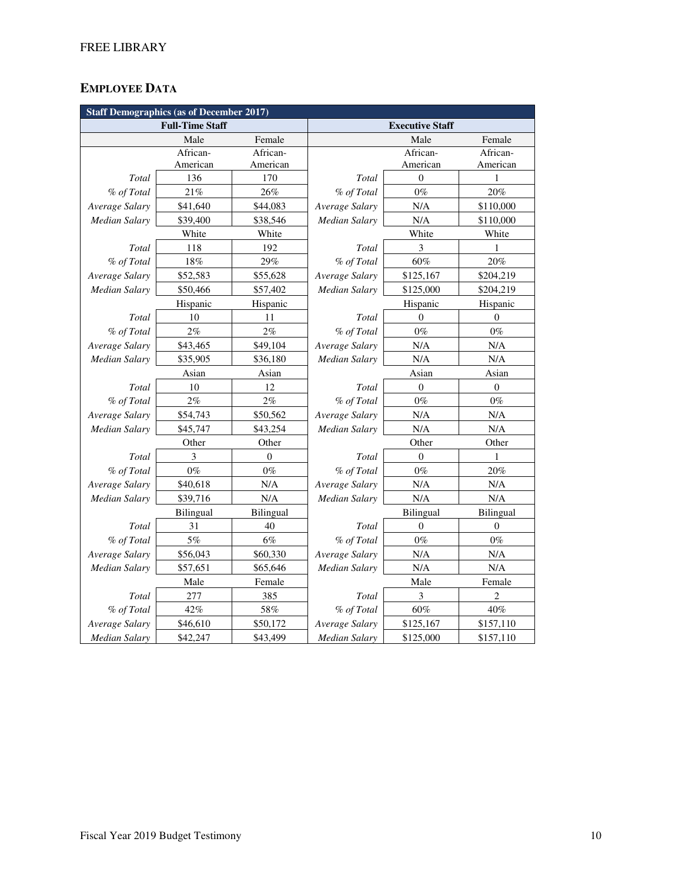# **EMPLOYEE DATA**

| <b>Staff Demographics (as of December 2017)</b> |                        |                  |                        |                  |                  |  |  |  |
|-------------------------------------------------|------------------------|------------------|------------------------|------------------|------------------|--|--|--|
|                                                 | <b>Full-Time Staff</b> |                  | <b>Executive Staff</b> |                  |                  |  |  |  |
|                                                 | Male                   | Female           |                        | Male             | Female           |  |  |  |
|                                                 | African-               | African-         |                        | African-         | African-         |  |  |  |
|                                                 | American               | American         |                        | American         | American         |  |  |  |
| Total                                           | 136                    | 170              | Total                  | $\overline{0}$   | $\mathbf{1}$     |  |  |  |
| % of Total                                      | 21%                    | 26%              | % of Total             | $0\%$            | 20%              |  |  |  |
| Average Salary                                  | \$41,640               | \$44,083         | Average Salary         | N/A              | \$110,000        |  |  |  |
| <b>Median Salary</b>                            | \$39,400               | \$38,546         | Median Salary          | N/A              | \$110,000        |  |  |  |
|                                                 | White                  | White            |                        | White            | White            |  |  |  |
| Total                                           | 118                    | 192              | Total                  | 3                | 1                |  |  |  |
| % of Total                                      | $18\%$                 | 29%              | % of Total             | 60%              | 20%              |  |  |  |
| Average Salary                                  | \$52,583               | \$55,628         | Average Salary         | \$125,167        | \$204,219        |  |  |  |
| Median Salary                                   | \$50,466               | \$57,402         | Median Salary          | \$125,000        | \$204,219        |  |  |  |
|                                                 | Hispanic               | Hispanic         |                        | Hispanic         | Hispanic         |  |  |  |
| Total                                           | 10                     | 11               | Total                  | $\Omega$         | $\overline{0}$   |  |  |  |
| % of Total                                      | 2%                     | 2%               | % of Total             | $0\%$            | $0\%$            |  |  |  |
| Average Salary                                  | \$43,465               | \$49,104         | Average Salary         | N/A              | N/A              |  |  |  |
| Median Salary                                   | \$35,905               | \$36,180         | Median Salary          | N/A              | N/A              |  |  |  |
|                                                 | Asian                  | Asian            |                        | Asian            | Asian            |  |  |  |
| Total                                           | 10                     | 12               | Total                  | $\mathbf{0}$     | $\boldsymbol{0}$ |  |  |  |
| % of Total                                      | 2%                     | 2%               | % of Total             | $0\%$            | $0\%$            |  |  |  |
| Average Salary                                  | \$54,743               | \$50,562         | Average Salary         | N/A              | N/A              |  |  |  |
| Median Salary                                   | \$45,747               | \$43,254         | Median Salary          | N/A              | N/A              |  |  |  |
|                                                 | Other                  | Other            |                        | Other            | Other            |  |  |  |
| Total                                           | 3                      | $\theta$         | Total                  | $\theta$         | 1                |  |  |  |
| % of Total                                      | $0\%$                  | $0\%$            | % of Total             | $0\%$            | 20%              |  |  |  |
| Average Salary                                  | \$40,618               | N/A              | Average Salary         | N/A              | N/A              |  |  |  |
| <b>Median Salary</b>                            | \$39,716               | N/A              | <b>Median Salary</b>   | N/A              | N/A              |  |  |  |
|                                                 | <b>Bilingual</b>       | <b>Bilingual</b> |                        | <b>Bilingual</b> | <b>Bilingual</b> |  |  |  |
| Total                                           | 31                     | 40               | Total                  | $\Omega$         | $\boldsymbol{0}$ |  |  |  |
| % of Total                                      | 5%                     | 6%               | % of Total             | $0\%$            | $0\%$            |  |  |  |
| Average Salary                                  | \$56,043               | \$60,330         | Average Salary         | N/A              | N/A              |  |  |  |
| Median Salary                                   | \$57,651               | \$65,646         | Median Salary          | N/A              | N/A              |  |  |  |
|                                                 | Male                   | Female           |                        | Male             | Female           |  |  |  |
| Total                                           | 277                    | 385              | Total                  | 3                | $\overline{c}$   |  |  |  |
| % of Total                                      | 42%                    | 58%              | % of Total             | 60%              | 40%              |  |  |  |
| Average Salary                                  | \$46,610               | \$50,172         | Average Salary         | \$125,167        | \$157,110        |  |  |  |
| Median Salary                                   | \$42,247               | \$43,499         | Median Salary          | \$125,000        | \$157,110        |  |  |  |